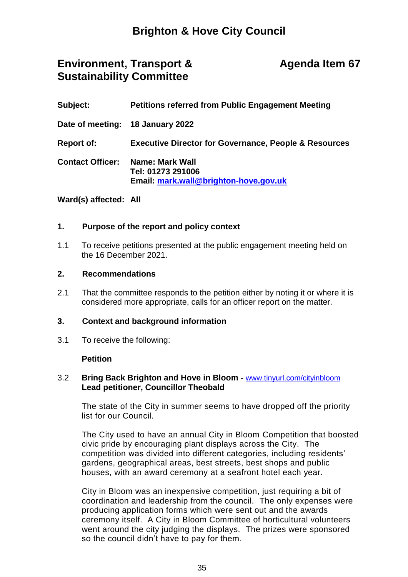# **Brighton & Hove City Council**

## **Environment, Transport & Sustainability Committee**

## **Agenda Item 67**

| Subject:                | <b>Petitions referred from Public Engagement Meeting</b>                      |
|-------------------------|-------------------------------------------------------------------------------|
|                         | Date of meeting: 18 January 2022                                              |
| <b>Report of:</b>       | <b>Executive Director for Governance, People &amp; Resources</b>              |
| <b>Contact Officer:</b> | Name: Mark Wall<br>Tel: 01273 291006<br>Email: mark.wall@brighton-hove.gov.uk |

### **Ward(s) affected: All**

#### **1. Purpose of the report and policy context**

1.1 To receive petitions presented at the public engagement meeting held on the 16 December 2021.

#### **2. Recommendations**

2.1 That the committee responds to the petition either by noting it or where it is considered more appropriate, calls for an officer report on the matter.

#### **3. Context and background information**

3.1 To receive the following:

#### **Petition**

### 3.2 **Bring Back Brighton and Hove in Bloom -** [www.tinyurl.com/cityinbloom](http://www.tinyurl.com/cityinbloom) **Lead petitioner, Councillor Theobald**

The state of the City in summer seems to have dropped off the priority list for our Council.

The City used to have an annual City in Bloom Competition that boosted civic pride by encouraging plant displays across the City. The competition was divided into different categories, including residents' gardens, geographical areas, best streets, best shops and public houses, with an award ceremony at a seafront hotel each year.

City in Bloom was an inexpensive competition, just requiring a bit of coordination and leadership from the council. The only expenses were producing application forms which were sent out and the awards ceremony itself. A City in Bloom Committee of horticultural volunteers went around the city judging the displays. The prizes were sponsored so the council didn't have to pay for them.